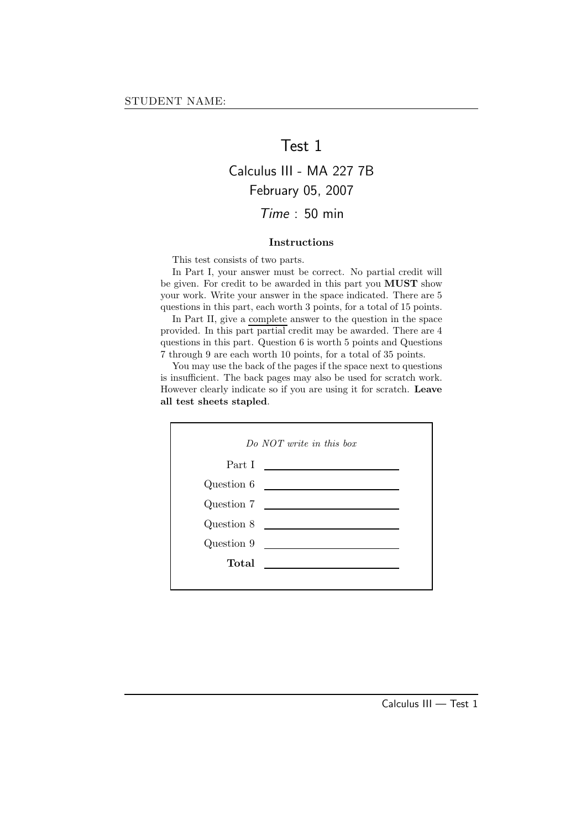### Test 1

# Calculus III - MA 227 7B February 05, 2007 Time : 50 min

### Instructions

This test consists of two parts.

In Part I, your answer must be correct. No partial credit will be given. For credit to be awarded in this part you MUST show your work. Write your answer in the space indicated. There are 5 questions in this part, each worth 3 points, for a total of 15 points.

In Part II, give a complete answer to the question in the space provided. In this part partial credit may be awarded. There are 4 questions in this part. Question 6 is worth 5 points and Questions 7 through 9 are each worth 10 points, for a total of 35 points.

You may use the back of the pages if the space next to questions is insufficient. The back pages may also be used for scratch work. However clearly indicate so if you are using it for scratch. Leave all test sheets stapled.

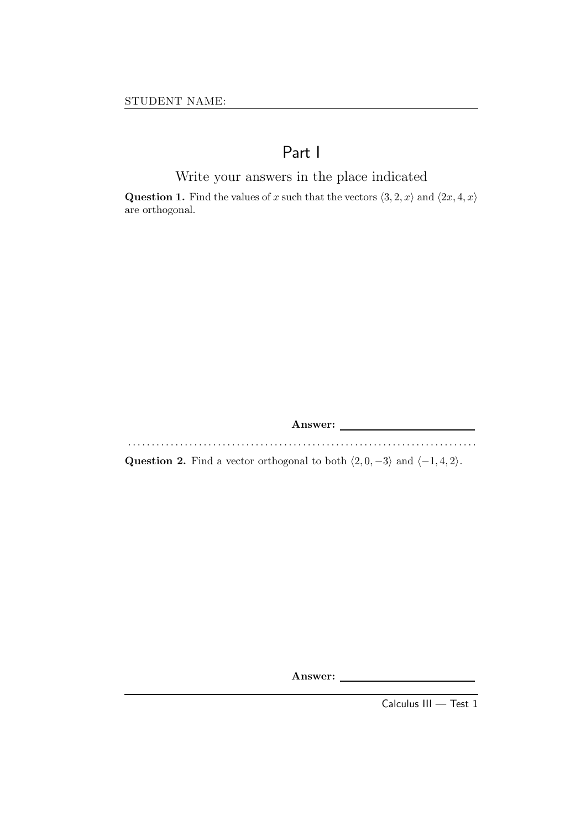# Part I

Write your answers in the place indicated

**Question 1.** Find the values of x such that the vectors  $\langle 3, 2, x \rangle$  and  $\langle 2x, 4, x \rangle$ are orthogonal.

Answer:

. . . . . . . . . . . . . . . . . . . . . . . . . . . . . . . . . . . . . . . . . . . . . . . . . . . . . . . . . . . . . . . . . . . . . . . . . .

Question 2. Find a vector orthogonal to both  $\langle 2, 0, -3 \rangle$  and  $\langle -1, 4, 2 \rangle$ .

Answer:

Calculus III — Test 1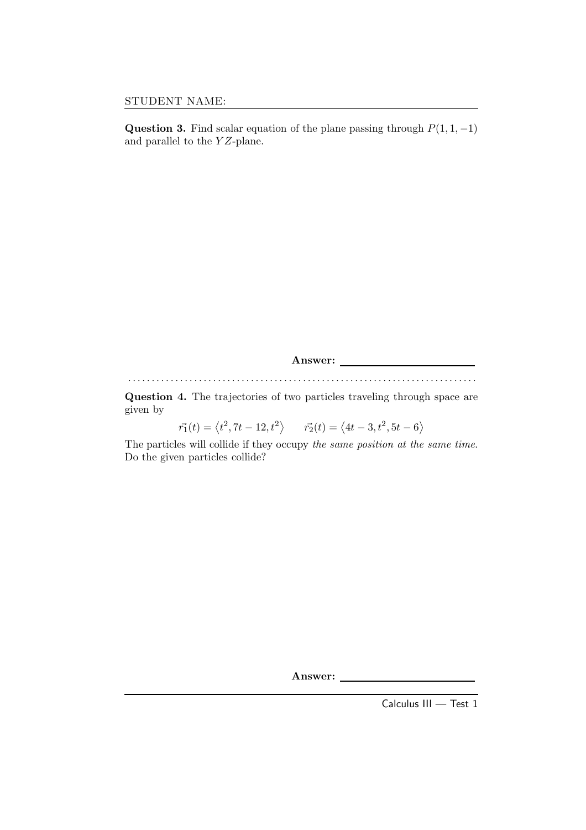Question 3. Find scalar equation of the plane passing through  $P(1, 1, -1)$ and parallel to the  $YZ$ -plane.

Answer: . . . . . . . . . . . . . . . . . . . . . . . . . . . . . . . . . . . . . . . . . . . . . . . . . . . . . . . . . . . . . . . . . . . . . . . . . . Question 4. The trajectories of two particles traveling through space are given by

 $\vec{r_1}(t) = \langle t^2, 7t - 12, t^2 \rangle$   $\vec{r_2}(t) = \langle 4t - 3, t^2, 5t - 6 \rangle$ 

The particles will collide if they occupy the same position at the same time. Do the given particles collide?

Answer:

Calculus III — Test 1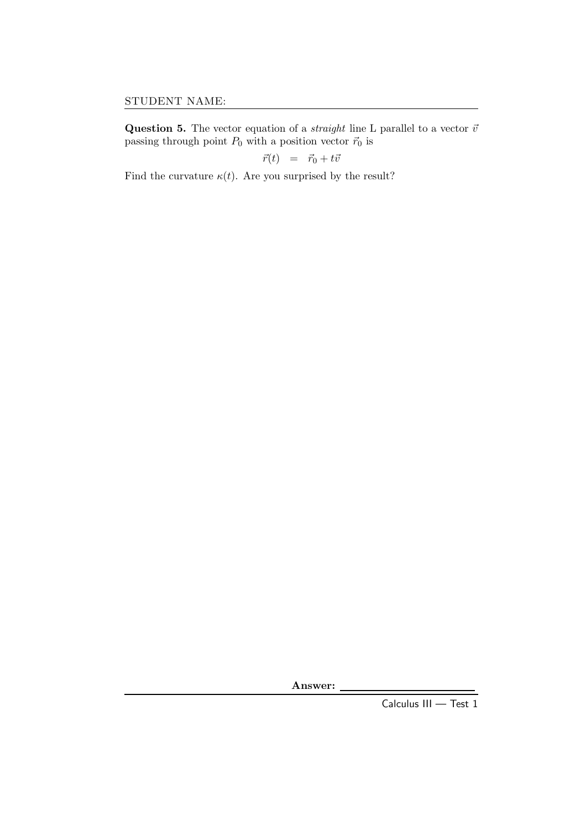Question 5. The vector equation of a *straight* line L parallel to a vector  $\vec{v}$ passing through point  $P_0$  with a position vector  $\vec{r}_0$  is

$$
\vec{r}(t) = \vec{r}_0 + t\vec{v}
$$

Find the curvature  $\kappa(t)$ . Are you surprised by the result?

Answer:

Calculus III — Test 1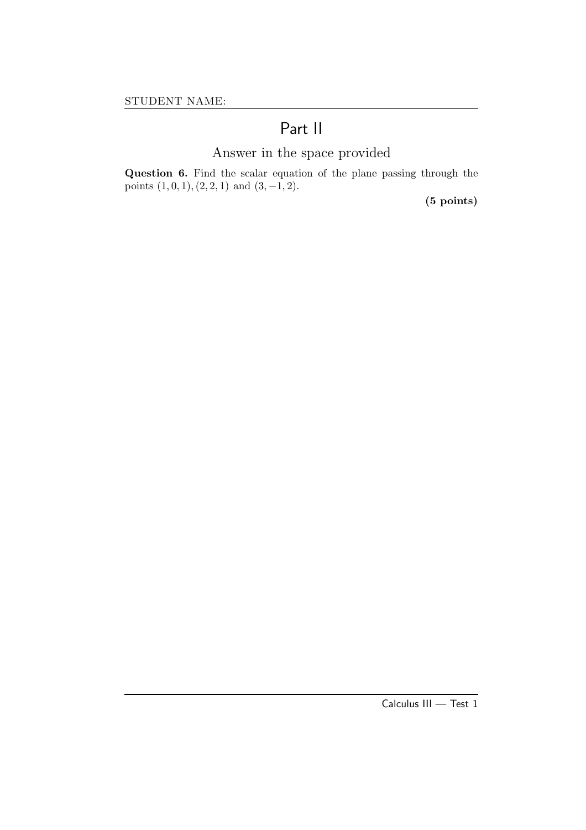# Part II

# Answer in the space provided

Question 6. Find the scalar equation of the plane passing through the points  $(1, 0, 1), (2, 2, 1)$  and  $(3, -1, 2)$ .

(5 points)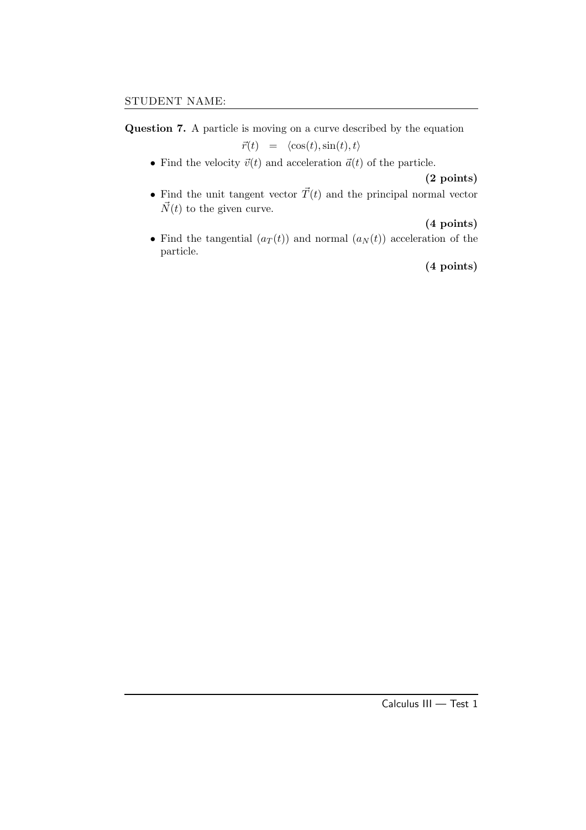Question 7. A particle is moving on a curve described by the equation

 $\vec{r}(t) = \langle \cos(t), \sin(t), t \rangle$ 

• Find the velocity  $\vec{v}(t)$  and acceleration  $\vec{a}(t)$  of the particle.

### (2 points)

• Find the unit tangent vector  $\vec{T}(t)$  and the principal normal vector  $\vec{N}(t)$  to the given curve.

### (4 points)

• Find the tangential  $(a_T(t))$  and normal  $(a_N(t))$  acceleration of the particle.

(4 points)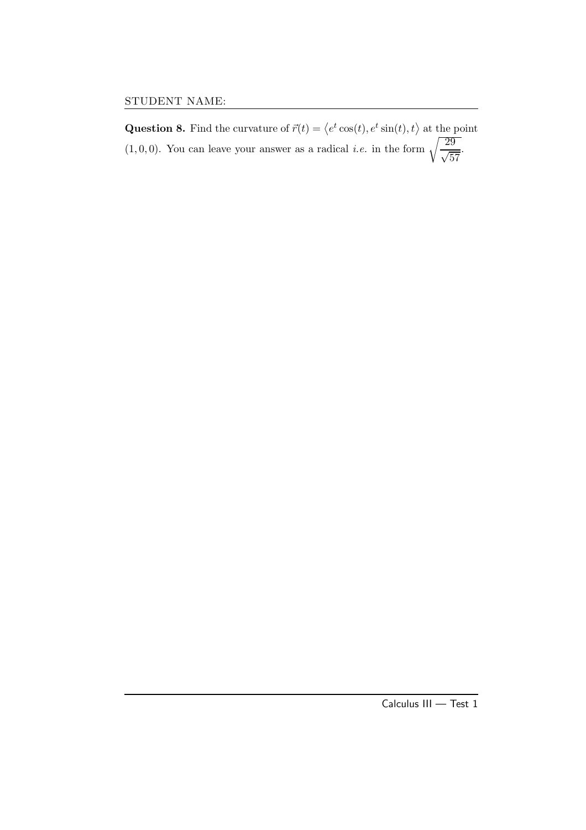**Question 8.** Find the curvature of  $\vec{r}(t) = \langle e^t \cos(t), e^t \sin(t), t \rangle$  at the point  $(1, 0, 0)$ . You can leave your answer as a radical *i.e.* in the form  $\sqrt{\frac{29}{\sqrt{57}}}$ .